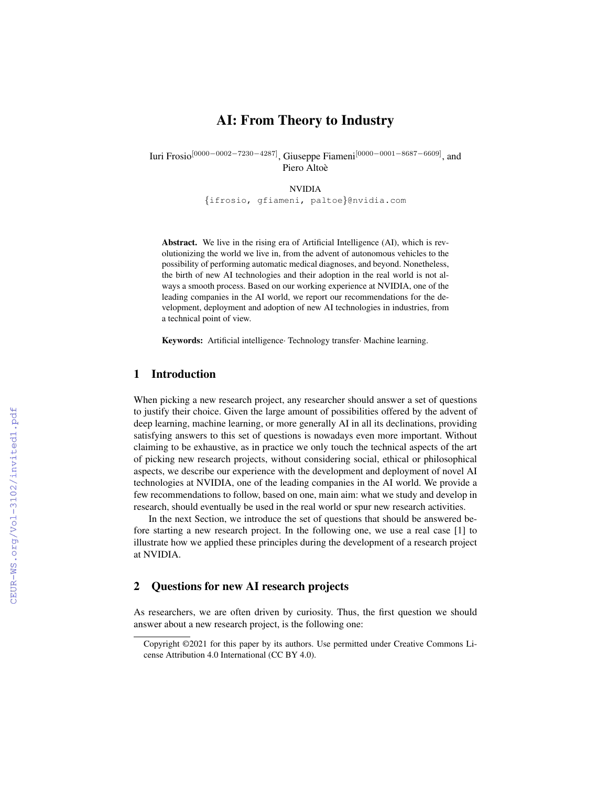# AI: From Theory to Industry

Iuri Frosio[0000−0002−7230−4287], Giuseppe Fiameni[0000−0001−8687−6609], and Piero Altoè

NVIDIA

{ifrosio, gfiameni, paltoe}@nvidia.com

Abstract. We live in the rising era of Artificial Intelligence (AI), which is revolutionizing the world we live in, from the advent of autonomous vehicles to the possibility of performing automatic medical diagnoses, and beyond. Nonetheless, the birth of new AI technologies and their adoption in the real world is not always a smooth process. Based on our working experience at NVIDIA, one of the leading companies in the AI world, we report our recommendations for the development, deployment and adoption of new AI technologies in industries, from a technical point of view.

Keywords: Artificial intelligence· Technology transfer· Machine learning.

## 1 Introduction

When picking a new research project, any researcher should answer a set of questions to justify their choice. Given the large amount of possibilities offered by the advent of deep learning, machine learning, or more generally AI in all its declinations, providing satisfying answers to this set of questions is nowadays even more important. Without claiming to be exhaustive, as in practice we only touch the technical aspects of the art of picking new research projects, without considering social, ethical or philosophical aspects, we describe our experience with the development and deployment of novel AI technologies at NVIDIA, one of the leading companies in the AI world. We provide a few recommendations to follow, based on one, main aim: what we study and develop in research, should eventually be used in the real world or spur new research activities.

In the next Section, we introduce the set of questions that should be answered before starting a new research project. In the following one, we use a real case [1] to illustrate how we applied these principles during the development of a research project at NVIDIA.

### 2 Questions for new AI research projects

As researchers, we are often driven by curiosity. Thus, the first question we should answer about a new research project, is the following one:

Copyright ©2021 for this paper by its authors. Use permitted under Creative Commons License Attribution 4.0 International (CC BY 4.0).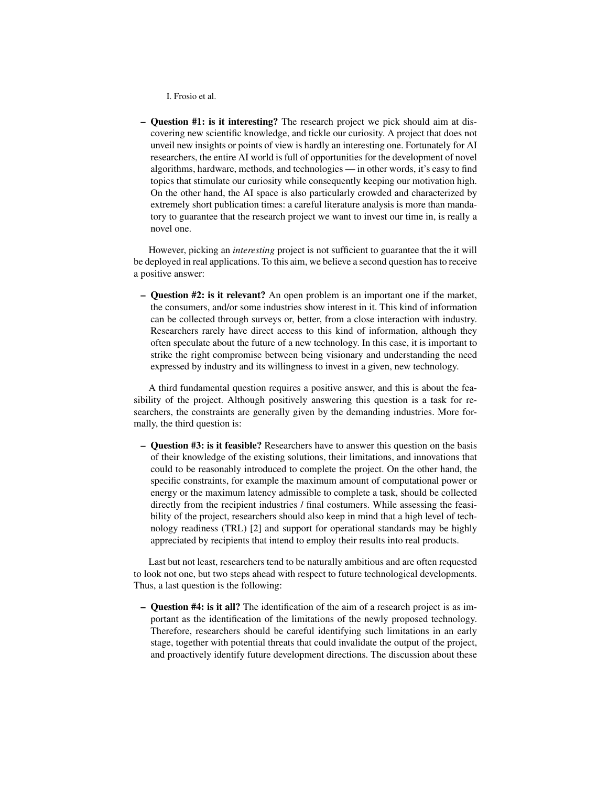I. Frosio et al.

– Question #1: is it interesting? The research project we pick should aim at discovering new scientific knowledge, and tickle our curiosity. A project that does not unveil new insights or points of view is hardly an interesting one. Fortunately for AI researchers, the entire AI world is full of opportunities for the development of novel algorithms, hardware, methods, and technologies — in other words, it's easy to find topics that stimulate our curiosity while consequently keeping our motivation high. On the other hand, the AI space is also particularly crowded and characterized by extremely short publication times: a careful literature analysis is more than mandatory to guarantee that the research project we want to invest our time in, is really a novel one.

However, picking an *interesting* project is not sufficient to guarantee that the it will be deployed in real applications. To this aim, we believe a second question has to receive a positive answer:

– Question #2: is it relevant? An open problem is an important one if the market, the consumers, and/or some industries show interest in it. This kind of information can be collected through surveys or, better, from a close interaction with industry. Researchers rarely have direct access to this kind of information, although they often speculate about the future of a new technology. In this case, it is important to strike the right compromise between being visionary and understanding the need expressed by industry and its willingness to invest in a given, new technology.

A third fundamental question requires a positive answer, and this is about the feasibility of the project. Although positively answering this question is a task for researchers, the constraints are generally given by the demanding industries. More formally, the third question is:

– Question #3: is it feasible? Researchers have to answer this question on the basis of their knowledge of the existing solutions, their limitations, and innovations that could to be reasonably introduced to complete the project. On the other hand, the specific constraints, for example the maximum amount of computational power or energy or the maximum latency admissible to complete a task, should be collected directly from the recipient industries / final costumers. While assessing the feasibility of the project, researchers should also keep in mind that a high level of technology readiness (TRL) [2] and support for operational standards may be highly appreciated by recipients that intend to employ their results into real products.

Last but not least, researchers tend to be naturally ambitious and are often requested to look not one, but two steps ahead with respect to future technological developments. Thus, a last question is the following:

– Question #4: is it all? The identification of the aim of a research project is as important as the identification of the limitations of the newly proposed technology. Therefore, researchers should be careful identifying such limitations in an early stage, together with potential threats that could invalidate the output of the project, and proactively identify future development directions. The discussion about these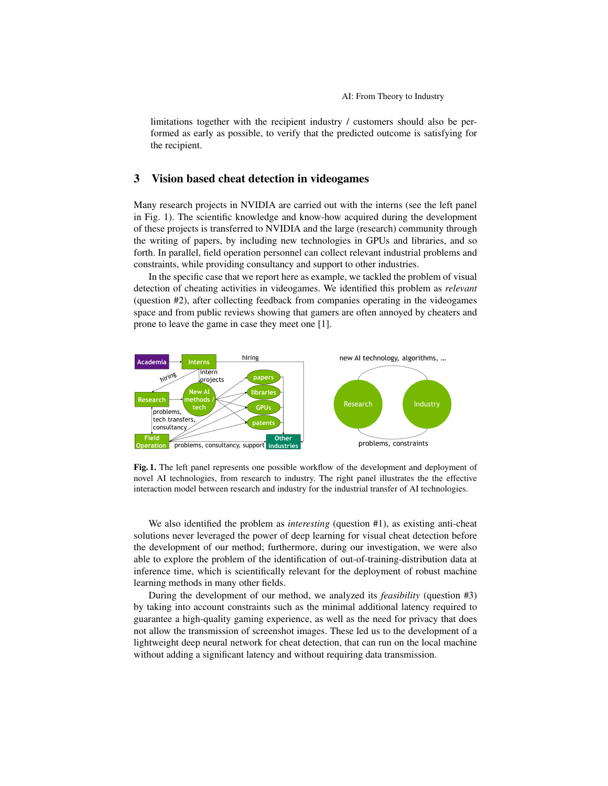limitations together with the recipient industry / customers should also be performed as early as possible, to verify that the predicted outcome is satisfying for the recipient.

## 3 Vision based cheat detection in videogames

Many research projects in NVIDIA are carried out with the interns (see the left panel in Fig. 1). The scientific knowledge and know-how acquired during the development of these projects is transferred to NVIDIA and the large (research) community through the writing of papers, by including new technologies in GPUs and libraries, and so forth. In parallel, field operation personnel can collect relevant industrial problems and constraints, while providing consultancy and support to other industries.

In the specific case that we report here as example, we tackled the problem of visual detection of cheating activities in videogames. We identified this problem as *relevant* (question #2), after collecting feedback from companies operating in the videogames space and from public reviews showing that gamers are often annoyed by cheaters and prone to leave the game in case they meet one [1].



Fig. 1. The left panel represents one possible workflow of the development and deployment of novel AI technologies, from research to industry. The right panel illustrates the the effective interaction model between research and industry for the industrial transfer of AI technologies.

We also identified the problem as *interesting* (question #1), as existing anti-cheat solutions never leveraged the power of deep learning for visual cheat detection before the development of our method; furthermore, during our investigation, we were also able to explore the problem of the identification of out-of-training-distribution data at inference time, which is scientifically relevant for the deployment of robust machine learning methods in many other fields.

During the development of our method, we analyzed its *feasibility* (question #3) by taking into account constraints such as the minimal additional latency required to guarantee a high-quality gaming experience, as well as the need for privacy that does not allow the transmission of screenshot images. These led us to the development of a lightweight deep neural network for cheat detection, that can run on the local machine without adding a significant latency and without requiring data transmission.